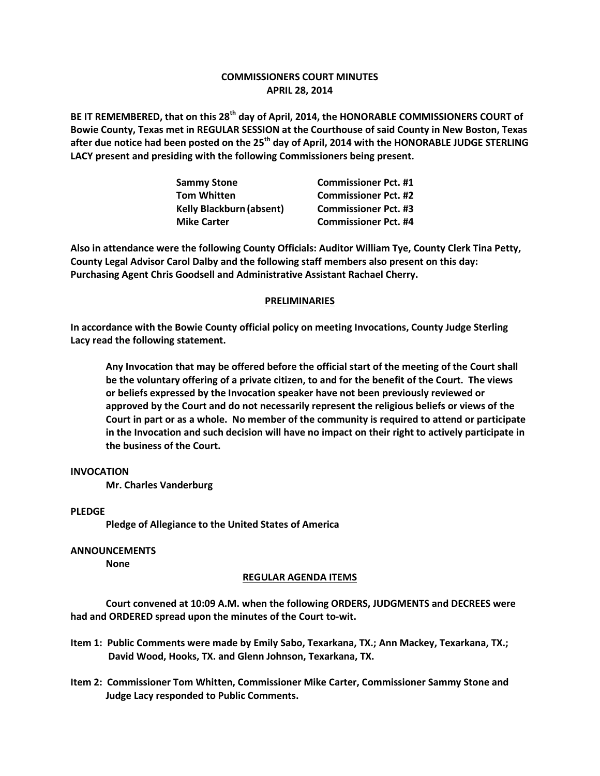# **COMMISSIONERS COURT MINUTES APRIL 28, 2014**

**BE IT REMEMBERED, that on this 28th day of April, 2014, the HONORABLE COMMISSIONERS COURT of Bowie County, Texas met in REGULAR SESSION at the Courthouse of said County in New Boston, Texas after due notice had been posted on the 25th day of April, 2014 with the HONORABLE JUDGE STERLING LACY present and presiding with the following Commissioners being present.**

| <b>Sammy Stone</b>              | <b>Commissioner Pct. #1</b> |
|---------------------------------|-----------------------------|
| <b>Tom Whitten</b>              | <b>Commissioner Pct. #2</b> |
| <b>Kelly Blackburn (absent)</b> | <b>Commissioner Pct. #3</b> |
| <b>Mike Carter</b>              | <b>Commissioner Pct. #4</b> |

**Also in attendance were the following County Officials: Auditor William Tye, County Clerk Tina Petty, County Legal Advisor Carol Dalby and the following staff members also present on this day: Purchasing Agent Chris Goodsell and Administrative Assistant Rachael Cherry.**

## **PRELIMINARIES**

**In accordance with the Bowie County official policy on meeting Invocations, County Judge Sterling Lacy read the following statement.**

**Any Invocation that may be offered before the official start of the meeting of the Court shall be the voluntary offering of a private citizen, to and for the benefit of the Court. The views or beliefs expressed by the Invocation speaker have not been previously reviewed or approved by the Court and do not necessarily represent the religious beliefs or views of the Court in part or as a whole. No member of the community is required to attend or participate in the Invocation and such decision will have no impact on their right to actively participate in the business of the Court.**

#### **INVOCATION**

**Mr. Charles Vanderburg**

#### **PLEDGE**

**Pledge of Allegiance to the United States of America**

# **ANNOUNCEMENTS**

**None**

## **REGULAR AGENDA ITEMS**

**Court convened at 10:09 A.M. when the following ORDERS, JUDGMENTS and DECREES were had and ORDERED spread upon the minutes of the Court to-wit.**

- **Item 1: Public Comments were made by Emily Sabo, Texarkana, TX.; Ann Mackey, Texarkana, TX.; David Wood, Hooks, TX. and Glenn Johnson, Texarkana, TX.**
- **Item 2: Commissioner Tom Whitten, Commissioner Mike Carter, Commissioner Sammy Stone and Judge Lacy responded to Public Comments.**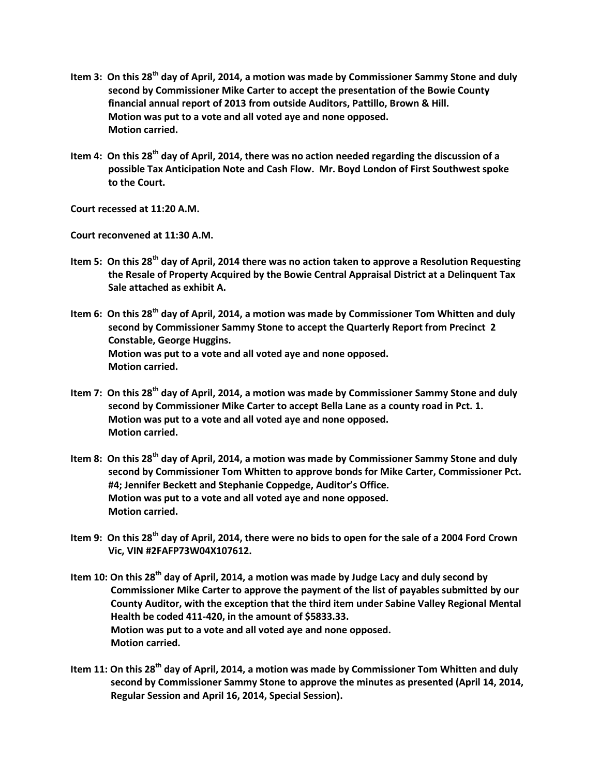- **Item 3: On this 28th day of April, 2014, a motion was made by Commissioner Sammy Stone and duly second by Commissioner Mike Carter to accept the presentation of the Bowie County financial annual report of 2013 from outside Auditors, Pattillo, Brown & Hill. Motion was put to a vote and all voted aye and none opposed. Motion carried.**
- **Item 4: On this 28th day of April, 2014, there was no action needed regarding the discussion of a possible Tax Anticipation Note and Cash Flow. Mr. Boyd London of First Southwest spoke to the Court.**

**Court recessed at 11:20 A.M.**

**Court reconvened at 11:30 A.M.**

- **Item 5: On this 28th day of April, 2014 there was no action taken to approve a Resolution Requesting the Resale of Property Acquired by the Bowie Central Appraisal District at a Delinquent Tax Sale attached as exhibit A.**
- **Item 6: On this 28th day of April, 2014, a motion was made by Commissioner Tom Whitten and duly second by Commissioner Sammy Stone to accept the Quarterly Report from Precinct 2 Constable, George Huggins. Motion was put to a vote and all voted aye and none opposed. Motion carried.**
- **Item 7: On this 28th day of April, 2014, a motion was made by Commissioner Sammy Stone and duly second by Commissioner Mike Carter to accept Bella Lane as a county road in Pct. 1. Motion was put to a vote and all voted aye and none opposed. Motion carried.**
- **Item 8: On this 28th day of April, 2014, a motion was made by Commissioner Sammy Stone and duly second by Commissioner Tom Whitten to approve bonds for Mike Carter, Commissioner Pct. #4; Jennifer Beckett and Stephanie Coppedge, Auditor's Office. Motion was put to a vote and all voted aye and none opposed. Motion carried.**
- **Item 9: On this 28th day of April, 2014, there were no bids to open for the sale of a 2004 Ford Crown Vic, VIN #2FAFP73W04X107612.**
- **Item 10: On this 28th day of April, 2014, a motion was made by Judge Lacy and duly second by Commissioner Mike Carter to approve the payment of the list of payables submitted by our County Auditor, with the exception that the third item under Sabine Valley Regional Mental Health be coded 411-420, in the amount of \$5833.33. Motion was put to a vote and all voted aye and none opposed. Motion carried.**
- **Item 11: On this 28th day of April, 2014, a motion was made by Commissioner Tom Whitten and duly second by Commissioner Sammy Stone to approve the minutes as presented (April 14, 2014, Regular Session and April 16, 2014, Special Session).**